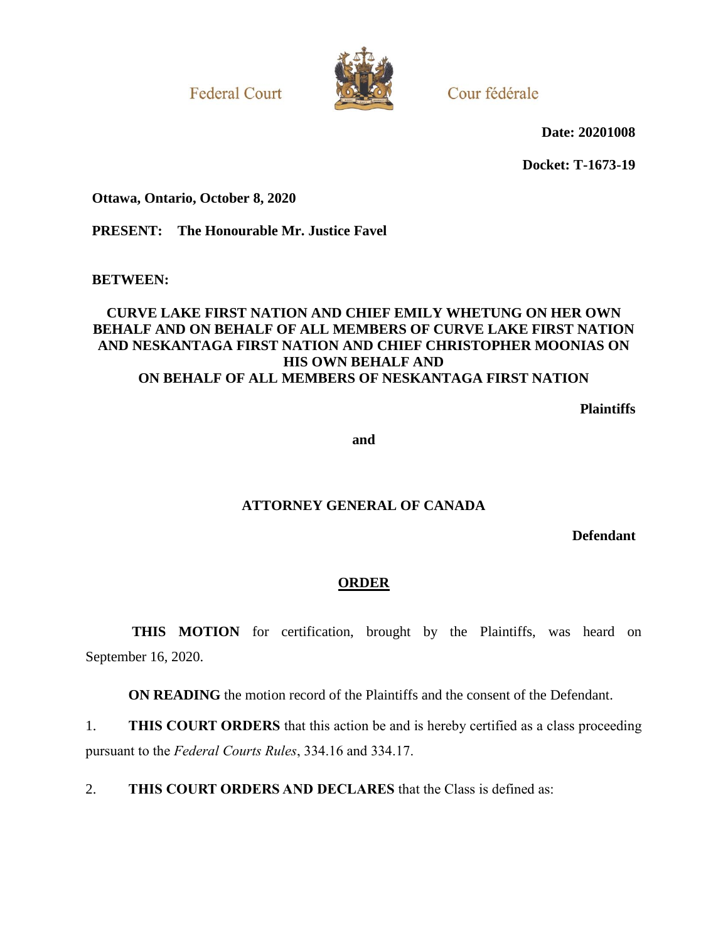**Federal Court** 



Cour fédérale

**Date: 20201008**

**Docket: T-1673-19**

**Ottawa, Ontario, October 8, 2020**

**PRESENT: The Honourable Mr. Justice Favel**

**BETWEEN:**

### **CURVE LAKE FIRST NATION AND CHIEF EMILY WHETUNG ON HER OWN BEHALF AND ON BEHALF OF ALL MEMBERS OF CURVE LAKE FIRST NATION AND NESKANTAGA FIRST NATION AND CHIEF CHRISTOPHER MOONIAS ON HIS OWN BEHALF AND ON BEHALF OF ALL MEMBERS OF NESKANTAGA FIRST NATION**

**Plaintiffs**

**and**

### **ATTORNEY GENERAL OF CANADA**

**Defendant**

### **ORDER**

THIS MOTION for certification, brought by the Plaintiffs, was heard on September 16, 2020.

**ON READING** the motion record of the Plaintiffs and the consent of the Defendant.

1. **THIS COURT ORDERS** that this action be and is hereby certified as a class proceeding pursuant to the *Federal Courts Rules*, 334.16 and 334.17.

2. **THIS COURT ORDERS AND DECLARES** that the Class is defined as: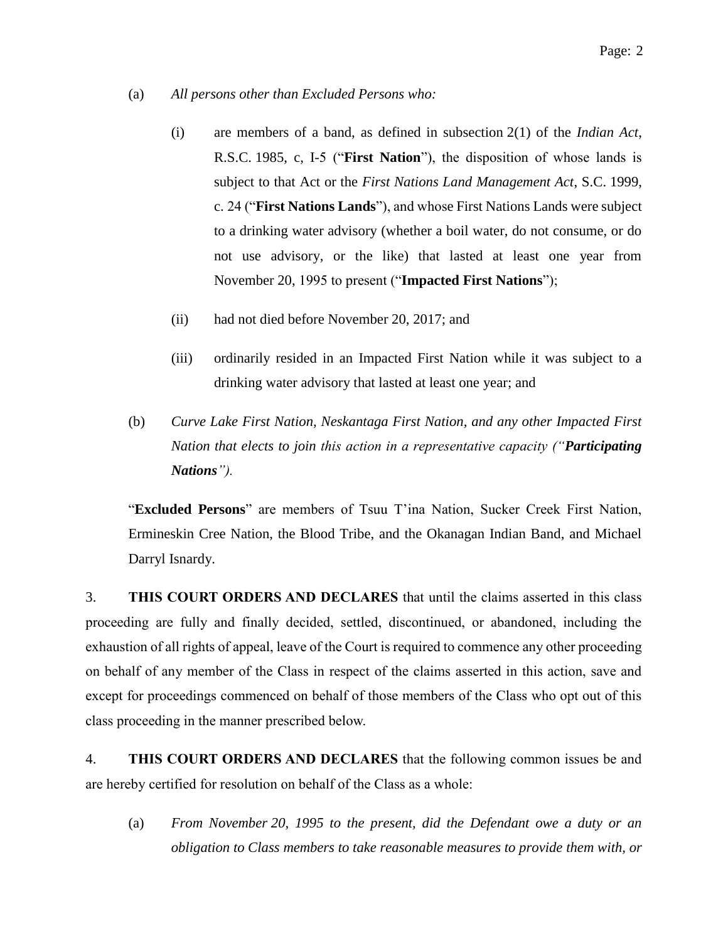- (a) *All persons other than Excluded Persons who:* 
	- (i) are members of a band, as defined in subsection 2(1) of the *Indian Act*, R.S.C. 1985, c, I-5 ("**First Nation**"), the disposition of whose lands is subject to that Act or the *First Nations Land Management Act*, S.C. 1999, c. 24 ("**First Nations Lands**"), and whose First Nations Lands were subject to a drinking water advisory (whether a boil water, do not consume, or do not use advisory, or the like) that lasted at least one year from November 20, 1995 to present ("**Impacted First Nations**");
	- (ii) had not died before November 20, 2017; and
	- (iii) ordinarily resided in an Impacted First Nation while it was subject to a drinking water advisory that lasted at least one year; and
- (b) *Curve Lake First Nation, Neskantaga First Nation, and any other Impacted First Nation that elects to join this action in a representative capacity ("Participating Nations").*

"**Excluded Persons**" are members of Tsuu T'ina Nation, Sucker Creek First Nation, Ermineskin Cree Nation, the Blood Tribe, and the Okanagan Indian Band, and Michael Darryl Isnardy.

3. **THIS COURT ORDERS AND DECLARES** that until the claims asserted in this class proceeding are fully and finally decided, settled, discontinued, or abandoned, including the exhaustion of all rights of appeal, leave of the Court is required to commence any other proceeding on behalf of any member of the Class in respect of the claims asserted in this action, save and except for proceedings commenced on behalf of those members of the Class who opt out of this class proceeding in the manner prescribed below.

4. **THIS COURT ORDERS AND DECLARES** that the following common issues be and are hereby certified for resolution on behalf of the Class as a whole:

(a) *From November 20, 1995 to the present, did the Defendant owe a duty or an obligation to Class members to take reasonable measures to provide them with, or*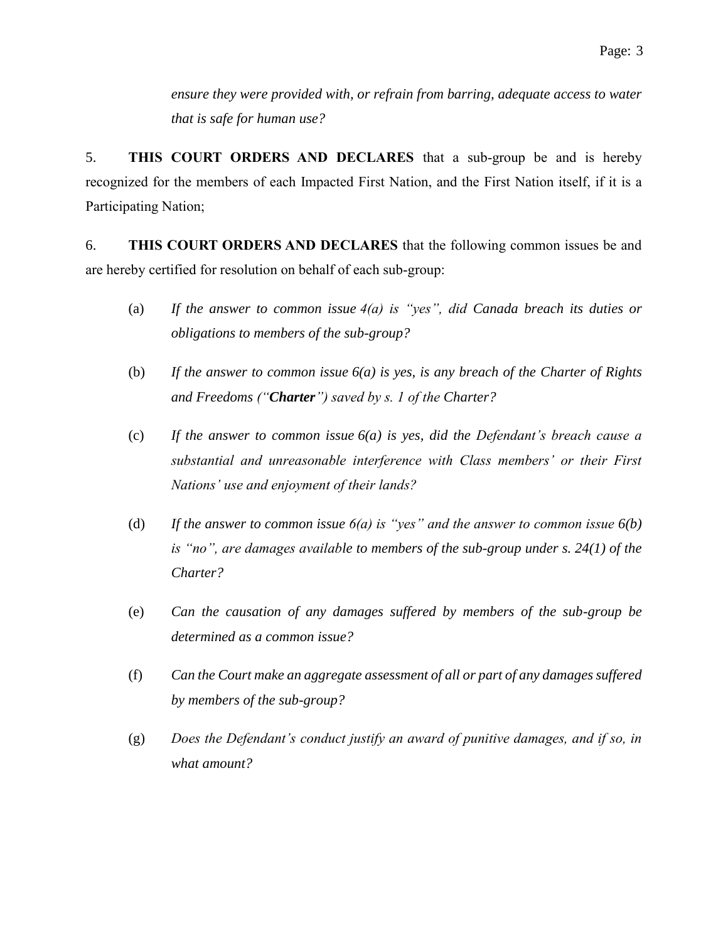*ensure they were provided with, or refrain from barring, adequate access to water that is safe for human use?*

5. **THIS COURT ORDERS AND DECLARES** that a sub-group be and is hereby recognized for the members of each Impacted First Nation, and the First Nation itself, if it is a Participating Nation;

6. **THIS COURT ORDERS AND DECLARES** that the following common issues be and are hereby certified for resolution on behalf of each sub-group:

- (a) *If the answer to common issue 4(a) is "yes", did Canada breach its duties or obligations to members of the sub-group?*
- (b) *If the answer to common issue 6(a) is yes, is any breach of the Charter of Rights and Freedoms ("Charter") saved by s. 1 of the Charter?*
- (c) *If the answer to common issue 6(a) is yes, did the Defendant's breach cause a substantial and unreasonable interference with Class members' or their First Nations' use and enjoyment of their lands?*
- (d) *If the answer to common issue 6(a) is "yes" and the answer to common issue 6(b) is "no", are damages available to members of the sub-group under s. 24(1) of the Charter?*
- (e) *Can the causation of any damages suffered by members of the sub-group be determined as a common issue?*
- (f) *Can the Court make an aggregate assessment of all or part of any damages suffered by members of the sub-group?*
- (g) *Does the Defendant's conduct justify an award of punitive damages, and if so, in what amount?*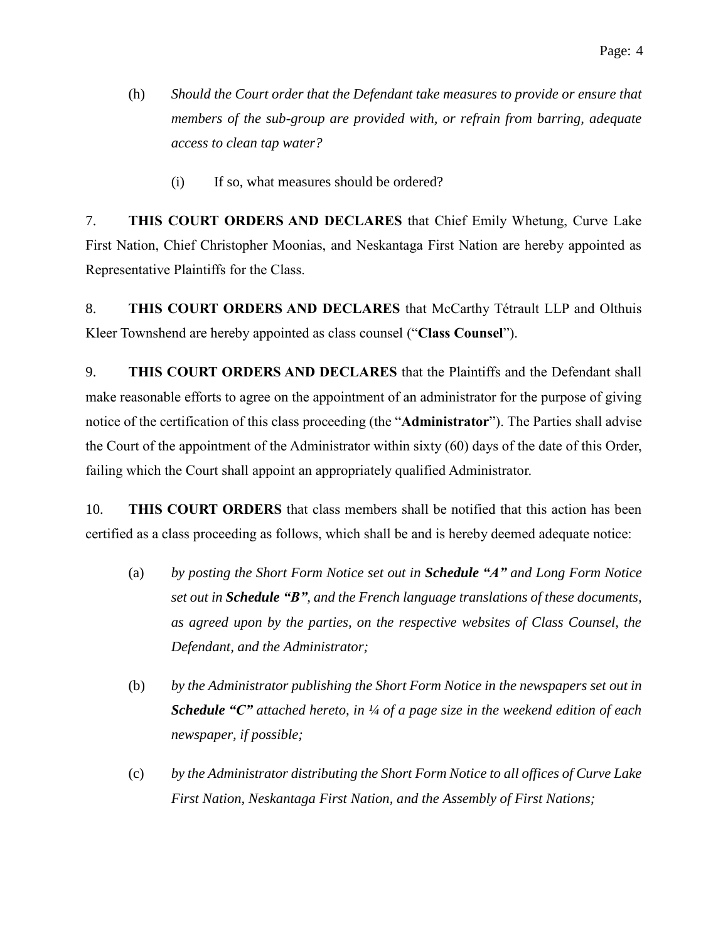- (h) *Should the Court order that the Defendant take measures to provide or ensure that members of the sub-group are provided with, or refrain from barring, adequate access to clean tap water?* 
	- (i) If so, what measures should be ordered?

7. **THIS COURT ORDERS AND DECLARES** that Chief Emily Whetung, Curve Lake First Nation, Chief Christopher Moonias, and Neskantaga First Nation are hereby appointed as Representative Plaintiffs for the Class.

8. **THIS COURT ORDERS AND DECLARES** that McCarthy Tétrault LLP and Olthuis Kleer Townshend are hereby appointed as class counsel ("**Class Counsel**").

9. **THIS COURT ORDERS AND DECLARES** that the Plaintiffs and the Defendant shall make reasonable efforts to agree on the appointment of an administrator for the purpose of giving notice of the certification of this class proceeding (the "**Administrator**"). The Parties shall advise the Court of the appointment of the Administrator within sixty (60) days of the date of this Order, failing which the Court shall appoint an appropriately qualified Administrator.

10. **THIS COURT ORDERS** that class members shall be notified that this action has been certified as a class proceeding as follows, which shall be and is hereby deemed adequate notice:

- (a) *by posting the Short Form Notice set out in Schedule "A" and Long Form Notice set out in Schedule "B", and the French language translations of these documents, as agreed upon by the parties, on the respective websites of Class Counsel, the Defendant, and the Administrator;*
- (b) *by the Administrator publishing the Short Form Notice in the newspapers set out in Schedule "C" attached hereto, in ¼ of a page size in the weekend edition of each newspaper, if possible;*
- (c) *by the Administrator distributing the Short Form Notice to all offices of Curve Lake First Nation, Neskantaga First Nation, and the Assembly of First Nations;*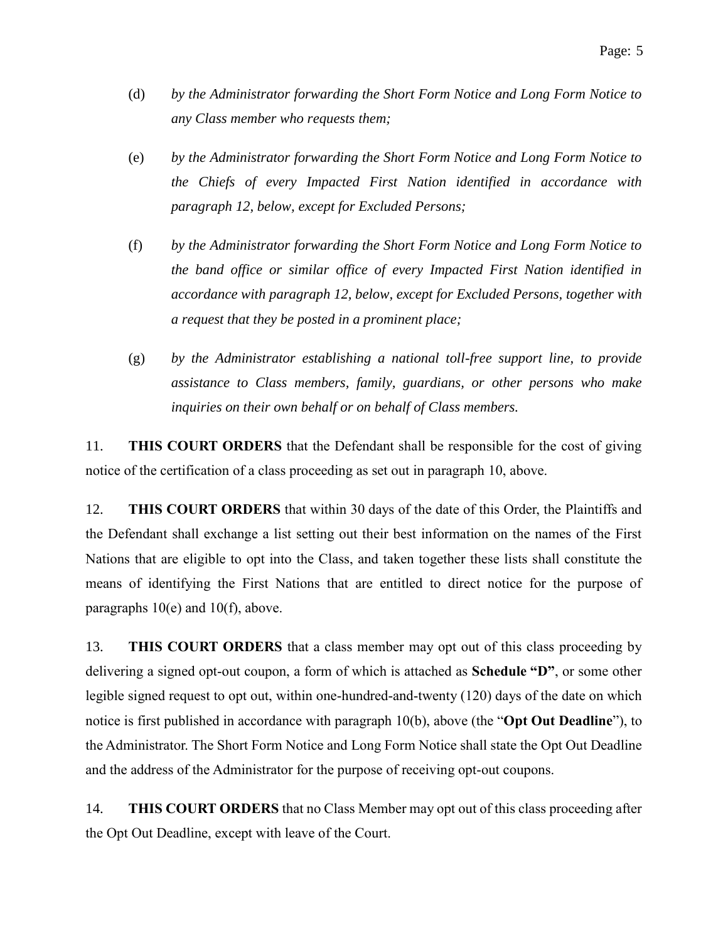- (d) *by the Administrator forwarding the Short Form Notice and Long Form Notice to any Class member who requests them;*
- (e) *by the Administrator forwarding the Short Form Notice and Long Form Notice to the Chiefs of every Impacted First Nation identified in accordance with paragraph 12, below, except for Excluded Persons;*
- (f) *by the Administrator forwarding the Short Form Notice and Long Form Notice to the band office or similar office of every Impacted First Nation identified in accordance with paragraph 12, below, except for Excluded Persons, together with a request that they be posted in a prominent place;*
- (g) *by the Administrator establishing a national toll-free support line, to provide assistance to Class members, family, guardians, or other persons who make inquiries on their own behalf or on behalf of Class members.*

11. **THIS COURT ORDERS** that the Defendant shall be responsible for the cost of giving notice of the certification of a class proceeding as set out in paragraph 10, above.

12. **THIS COURT ORDERS** that within 30 days of the date of this Order, the Plaintiffs and the Defendant shall exchange a list setting out their best information on the names of the First Nations that are eligible to opt into the Class, and taken together these lists shall constitute the means of identifying the First Nations that are entitled to direct notice for the purpose of paragraphs 10(e) and 10(f), above.

13. **THIS COURT ORDERS** that a class member may opt out of this class proceeding by delivering a signed opt-out coupon, a form of which is attached as **Schedule "D"**, or some other legible signed request to opt out, within one-hundred-and-twenty (120) days of the date on which notice is first published in accordance with paragraph 10(b), above (the "**Opt Out Deadline**"), to the Administrator. The Short Form Notice and Long Form Notice shall state the Opt Out Deadline and the address of the Administrator for the purpose of receiving opt-out coupons.

14. **THIS COURT ORDERS** that no Class Member may opt out of this class proceeding after the Opt Out Deadline, except with leave of the Court.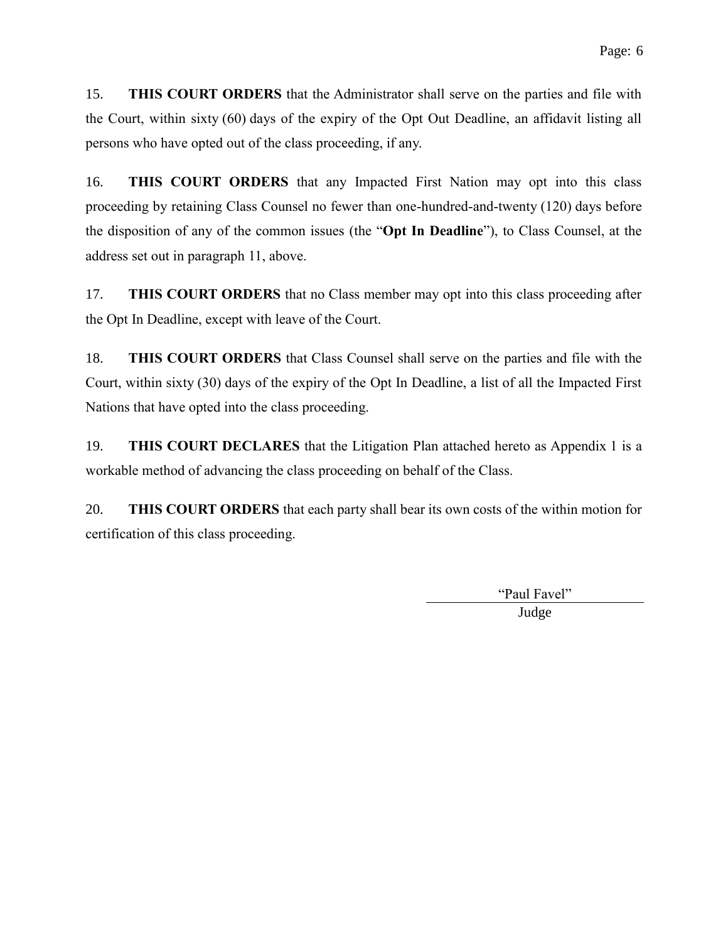15. **THIS COURT ORDERS** that the Administrator shall serve on the parties and file with the Court, within sixty (60) days of the expiry of the Opt Out Deadline, an affidavit listing all persons who have opted out of the class proceeding, if any.

16. **THIS COURT ORDERS** that any Impacted First Nation may opt into this class proceeding by retaining Class Counsel no fewer than one-hundred-and-twenty (120) days before the disposition of any of the common issues (the "**Opt In Deadline**"), to Class Counsel, at the address set out in paragraph 11, above.

17. **THIS COURT ORDERS** that no Class member may opt into this class proceeding after the Opt In Deadline, except with leave of the Court.

18. **THIS COURT ORDERS** that Class Counsel shall serve on the parties and file with the Court, within sixty (30) days of the expiry of the Opt In Deadline, a list of all the Impacted First Nations that have opted into the class proceeding.

19. **THIS COURT DECLARES** that the Litigation Plan attached hereto as [Appendix](#page-18-0) 1 is a workable method of advancing the class proceeding on behalf of the Class.

20. **THIS COURT ORDERS** that each party shall bear its own costs of the within motion for certification of this class proceeding.

> "Paul Favel" Judge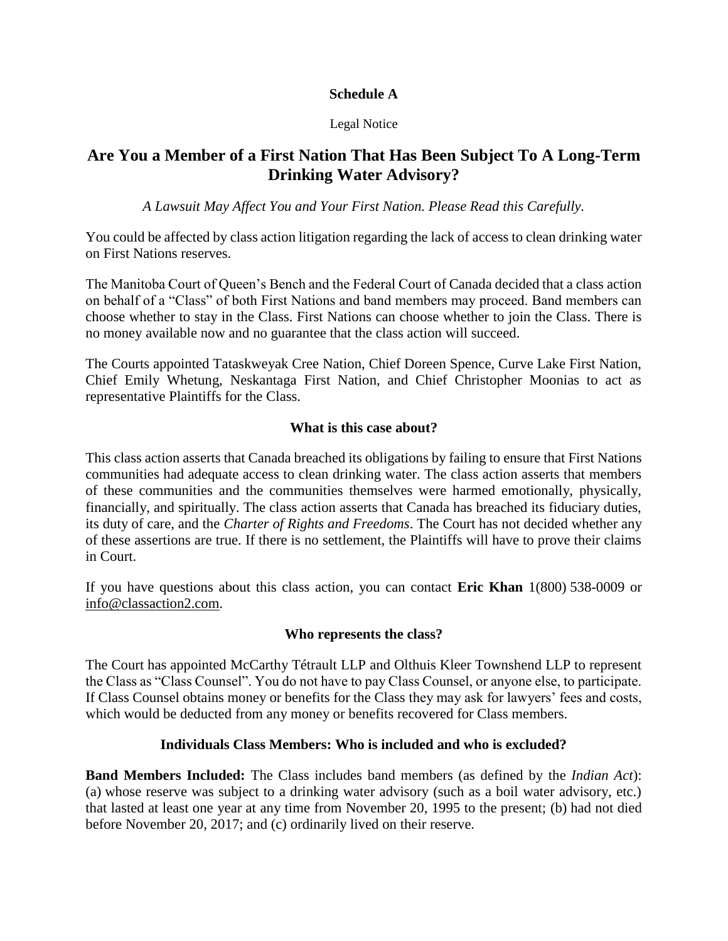### **Schedule A**

#### Legal Notice

# **Are You a Member of a First Nation That Has Been Subject To A Long-Term Drinking Water Advisory?**

*A Lawsuit May Affect You and Your First Nation. Please Read this Carefully.*

You could be affected by class action litigation regarding the lack of access to clean drinking water on First Nations reserves.

The Manitoba Court of Queen's Bench and the Federal Court of Canada decided that a class action on behalf of a "Class" of both First Nations and band members may proceed. Band members can choose whether to stay in the Class. First Nations can choose whether to join the Class. There is no money available now and no guarantee that the class action will succeed.

The Courts appointed Tataskweyak Cree Nation, Chief Doreen Spence, Curve Lake First Nation, Chief Emily Whetung, Neskantaga First Nation, and Chief Christopher Moonias to act as representative Plaintiffs for the Class.

### **What is this case about?**

This class action asserts that Canada breached its obligations by failing to ensure that First Nations communities had adequate access to clean drinking water. The class action asserts that members of these communities and the communities themselves were harmed emotionally, physically, financially, and spiritually. The class action asserts that Canada has breached its fiduciary duties, its duty of care, and the *Charter of Rights and Freedoms*. The Court has not decided whether any of these assertions are true. If there is no settlement, the Plaintiffs will have to prove their claims in Court.

If you have questions about this class action, you can contact **Eric Khan** 1(800) 538-0009 or info@classaction2.com.

#### **Who represents the class?**

The Court has appointed McCarthy Tétrault LLP and Olthuis Kleer Townshend LLP to represent the Class as "Class Counsel". You do not have to pay Class Counsel, or anyone else, to participate. If Class Counsel obtains money or benefits for the Class they may ask for lawyers' fees and costs, which would be deducted from any money or benefits recovered for Class members.

### **Individuals Class Members: Who is included and who is excluded?**

**Band Members Included:** The Class includes band members (as defined by the *Indian Act*): (a) whose reserve was subject to a drinking water advisory (such as a boil water advisory, etc.) that lasted at least one year at any time from November 20, 1995 to the present; (b) had not died before November 20, 2017; and (c) ordinarily lived on their reserve.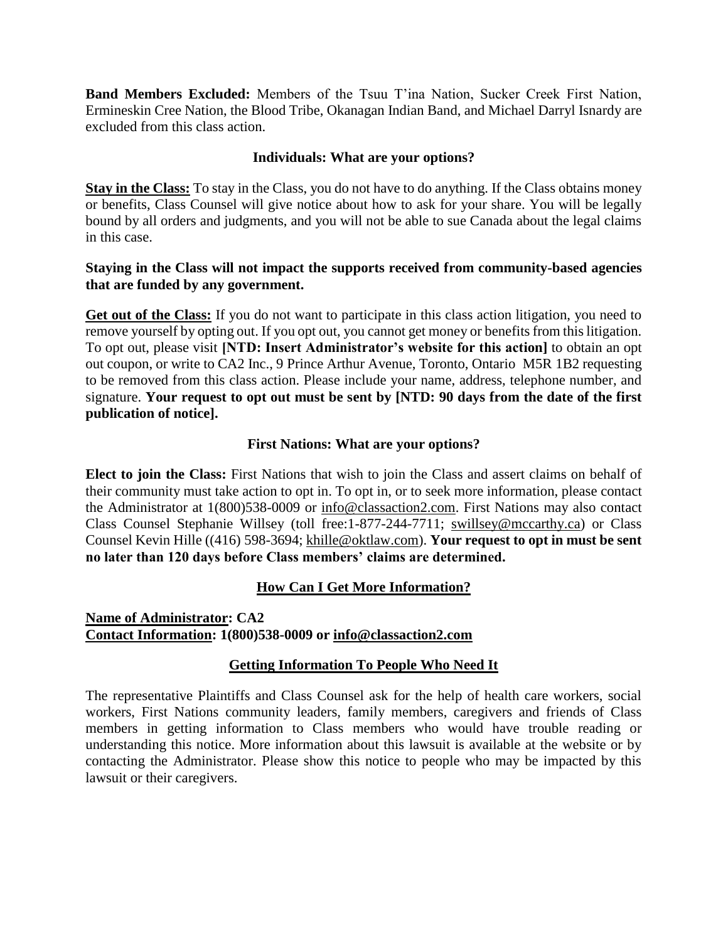**Band Members Excluded:** Members of the Tsuu T'ina Nation, Sucker Creek First Nation, Ermineskin Cree Nation, the Blood Tribe, Okanagan Indian Band, and Michael Darryl Isnardy are excluded from this class action.

#### **Individuals: What are your options?**

**Stay in the Class:** To stay in the Class, you do not have to do anything. If the Class obtains money or benefits, Class Counsel will give notice about how to ask for your share. You will be legally bound by all orders and judgments, and you will not be able to sue Canada about the legal claims in this case.

### **Staying in the Class will not impact the supports received from community-based agencies that are funded by any government.**

**Get out of the Class:** If you do not want to participate in this class action litigation, you need to remove yourself by opting out. If you opt out, you cannot get money or benefits from this litigation. To opt out, please visit **[NTD: Insert Administrator's website for this action]** to obtain an opt out coupon, or write to CA2 Inc., 9 Prince Arthur Avenue, Toronto, Ontario M5R 1B2 requesting to be removed from this class action. Please include your name, address, telephone number, and signature. **Your request to opt out must be sent by [NTD: 90 days from the date of the first publication of notice].**

### **First Nations: What are your options?**

**Elect to join the Class:** First Nations that wish to join the Class and assert claims on behalf of their community must take action to opt in. To opt in, or to seek more information, please contact the Administrator at 1(800)538-0009 or info@classaction2.com. First Nations may also contact Class Counsel Stephanie Willsey (toll free:1-877-244-7711; swillsey@mccarthy.ca) or Class Counsel Kevin Hille ((416) 598-3694; khille@oktlaw.com). **Your request to opt in must be sent no later than 120 days before Class members' claims are determined.**

### **How Can I Get More Information?**

**Name of Administrator: CA2 Contact Information: 1(800)538-0009 or info@classaction2.com** 

#### **Getting Information To People Who Need It**

The representative Plaintiffs and Class Counsel ask for the help of health care workers, social workers, First Nations community leaders, family members, caregivers and friends of Class members in getting information to Class members who would have trouble reading or understanding this notice. More information about this lawsuit is available at the website or by contacting the Administrator. Please show this notice to people who may be impacted by this lawsuit or their caregivers.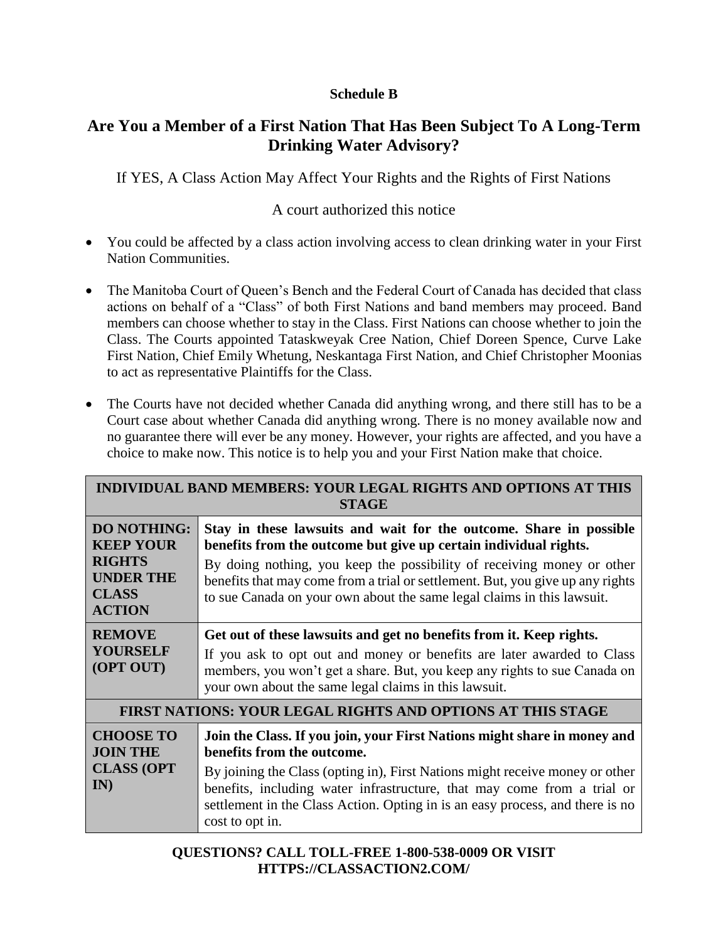### **Schedule B**

# **Are You a Member of a First Nation That Has Been Subject To A Long-Term Drinking Water Advisory?**

If YES, A Class Action May Affect Your Rights and the Rights of First Nations

# A court authorized this notice

- You could be affected by a class action involving access to clean drinking water in your First Nation Communities.
- The Manitoba Court of Queen's Bench and the Federal Court of Canada has decided that class actions on behalf of a "Class" of both First Nations and band members may proceed. Band members can choose whether to stay in the Class. First Nations can choose whether to join the Class. The Courts appointed Tataskweyak Cree Nation, Chief Doreen Spence, Curve Lake First Nation, Chief Emily Whetung, Neskantaga First Nation, and Chief Christopher Moonias to act as representative Plaintiffs for the Class.
- The Courts have not decided whether Canada did anything wrong, and there still has to be a Court case about whether Canada did anything wrong. There is no money available now and no guarantee there will ever be any money. However, your rights are affected, and you have a choice to make now. This notice is to help you and your First Nation make that choice.

| <b>INDIVIDUAL BAND MEMBERS: YOUR LEGAL RIGHTS AND OPTIONS AT THIS</b><br><b>STAGE</b>                        |                                                                                                                                                                                                                                                                                                                                                                              |  |  |  |
|--------------------------------------------------------------------------------------------------------------|------------------------------------------------------------------------------------------------------------------------------------------------------------------------------------------------------------------------------------------------------------------------------------------------------------------------------------------------------------------------------|--|--|--|
| <b>DO NOTHING:</b><br><b>KEEP YOUR</b><br><b>RIGHTS</b><br><b>UNDER THE</b><br><b>CLASS</b><br><b>ACTION</b> | Stay in these lawsuits and wait for the outcome. Share in possible<br>benefits from the outcome but give up certain individual rights.<br>By doing nothing, you keep the possibility of receiving money or other<br>benefits that may come from a trial or settlement. But, you give up any rights<br>to sue Canada on your own about the same legal claims in this lawsuit. |  |  |  |
| <b>REMOVE</b><br><b>YOURSELF</b><br>(OPT OUT)                                                                | Get out of these lawsuits and get no benefits from it. Keep rights.<br>If you ask to opt out and money or benefits are later awarded to Class<br>members, you won't get a share. But, you keep any rights to sue Canada on<br>your own about the same legal claims in this lawsuit.                                                                                          |  |  |  |
| <b>FIRST NATIONS: YOUR LEGAL RIGHTS AND OPTIONS AT THIS STAGE</b>                                            |                                                                                                                                                                                                                                                                                                                                                                              |  |  |  |
| <b>CHOOSE TO</b><br><b>JOIN THE</b><br><b>CLASS (OPT)</b><br>IN)                                             | Join the Class. If you join, your First Nations might share in money and<br>benefits from the outcome.<br>By joining the Class (opting in), First Nations might receive money or other<br>benefits, including water infrastructure, that may come from a trial or<br>settlement in the Class Action. Opting in is an easy process, and there is no<br>cost to opt in.        |  |  |  |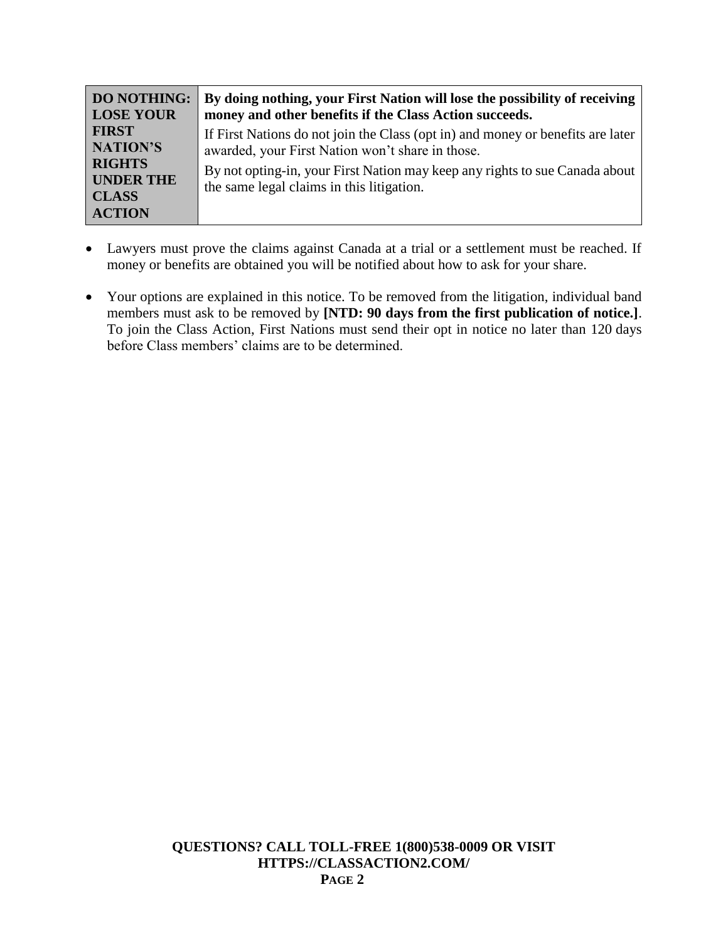| <b>DO NOTHING:</b> | By doing nothing, your First Nation will lose the possibility of receiving      |  |
|--------------------|---------------------------------------------------------------------------------|--|
| <b>LOSE YOUR</b>   | money and other benefits if the Class Action succeeds.                          |  |
| <b>FIRST</b>       | If First Nations do not join the Class (opt in) and money or benefits are later |  |
| NATION'S           | awarded, your First Nation won't share in those.                                |  |
| <b>RIGHTS</b>      | By not opting-in, your First Nation may keep any rights to sue Canada about     |  |
| <b>UNDER THE</b>   | the same legal claims in this litigation.                                       |  |
| <b>CLASS</b>       |                                                                                 |  |
| <b>ACTION</b>      |                                                                                 |  |

- Lawyers must prove the claims against Canada at a trial or a settlement must be reached. If money or benefits are obtained you will be notified about how to ask for your share.
- Your options are explained in this notice. To be removed from the litigation, individual band members must ask to be removed by **[NTD: 90 days from the first publication of notice.]**. To join the Class Action, First Nations must send their opt in notice no later than 120 days before Class members' claims are to be determined.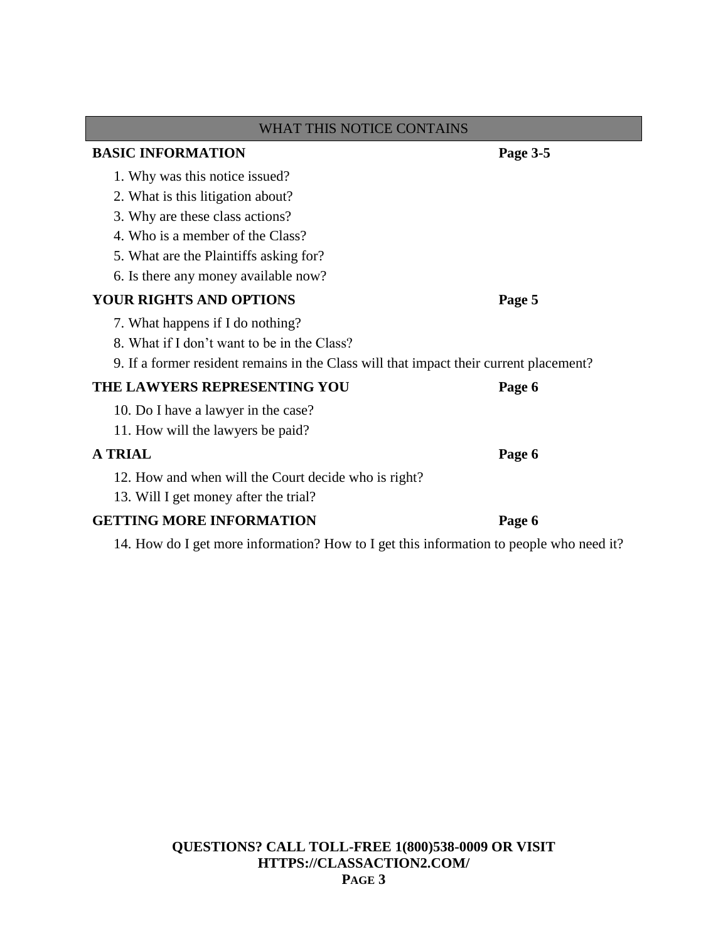| <b>WHAT THIS NOTICE CONTAINS</b>                                                       |          |  |  |  |
|----------------------------------------------------------------------------------------|----------|--|--|--|
| <b>BASIC INFORMATION</b>                                                               | Page 3-5 |  |  |  |
| 1. Why was this notice issued?                                                         |          |  |  |  |
| 2. What is this litigation about?                                                      |          |  |  |  |
| 3. Why are these class actions?                                                        |          |  |  |  |
| 4. Who is a member of the Class?                                                       |          |  |  |  |
| 5. What are the Plaintiffs asking for?                                                 |          |  |  |  |
| 6. Is there any money available now?                                                   |          |  |  |  |
| <b>YOUR RIGHTS AND OPTIONS</b>                                                         | Page 5   |  |  |  |
| 7. What happens if I do nothing?                                                       |          |  |  |  |
| 8. What if I don't want to be in the Class?                                            |          |  |  |  |
| 9. If a former resident remains in the Class will that impact their current placement? |          |  |  |  |
| THE LAWYERS REPRESENTING YOU                                                           | Page 6   |  |  |  |
| 10. Do I have a lawyer in the case?                                                    |          |  |  |  |
| 11. How will the lawyers be paid?                                                      |          |  |  |  |
| <b>A TRIAL</b>                                                                         | Page 6   |  |  |  |
| 12. How and when will the Court decide who is right?                                   |          |  |  |  |
| 13. Will I get money after the trial?                                                  |          |  |  |  |
| <b>GETTING MORE INFORMATION</b>                                                        | Page 6   |  |  |  |

14. How do I get more information? How to I get this information to people who need it?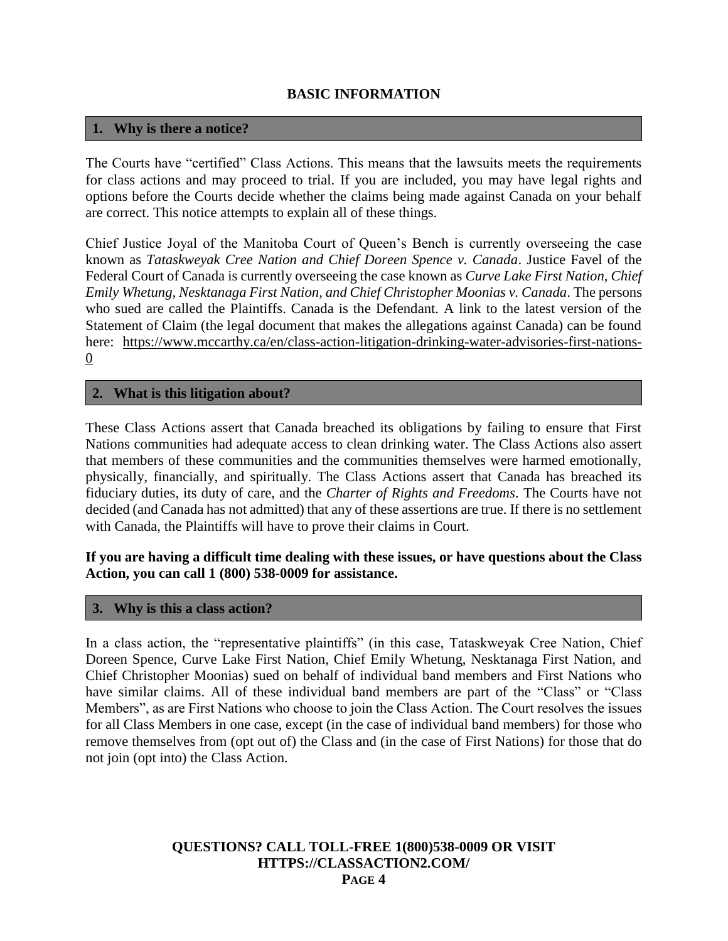### **BASIC INFORMATION**

### **1. Why is there a notice?**

The Courts have "certified" Class Actions. This means that the lawsuits meets the requirements for class actions and may proceed to trial. If you are included, you may have legal rights and options before the Courts decide whether the claims being made against Canada on your behalf are correct. This notice attempts to explain all of these things.

Chief Justice Joyal of the Manitoba Court of Queen's Bench is currently overseeing the case known as *Tataskweyak Cree Nation and Chief Doreen Spence v. Canada*. Justice Favel of the Federal Court of Canada is currently overseeing the case known as *Curve Lake First Nation, Chief Emily Whetung, Nesktanaga First Nation, and Chief Christopher Moonias v. Canada*. The persons who sued are called the Plaintiffs. Canada is the Defendant. A link to the latest version of the Statement of Claim (the legal document that makes the allegations against Canada) can be found here: https://www.mccarthy.ca/en/class-action-litigation-drinking-water-advisories-first-nations-0

### **2. What is this litigation about?**

These Class Actions assert that Canada breached its obligations by failing to ensure that First Nations communities had adequate access to clean drinking water. The Class Actions also assert that members of these communities and the communities themselves were harmed emotionally, physically, financially, and spiritually. The Class Actions assert that Canada has breached its fiduciary duties, its duty of care, and the *Charter of Rights and Freedoms*. The Courts have not decided (and Canada has not admitted) that any of these assertions are true. If there is no settlement with Canada, the Plaintiffs will have to prove their claims in Court.

### **If you are having a difficult time dealing with these issues, or have questions about the Class Action, you can call 1 (800) 538-0009 for assistance.**

#### **3. Why is this a class action?**

In a class action, the "representative plaintiffs" (in this case, Tataskweyak Cree Nation, Chief Doreen Spence, Curve Lake First Nation, Chief Emily Whetung, Nesktanaga First Nation, and Chief Christopher Moonias) sued on behalf of individual band members and First Nations who have similar claims. All of these individual band members are part of the "Class" or "Class Members", as are First Nations who choose to join the Class Action. The Court resolves the issues for all Class Members in one case, except (in the case of individual band members) for those who remove themselves from (opt out of) the Class and (in the case of First Nations) for those that do not join (opt into) the Class Action.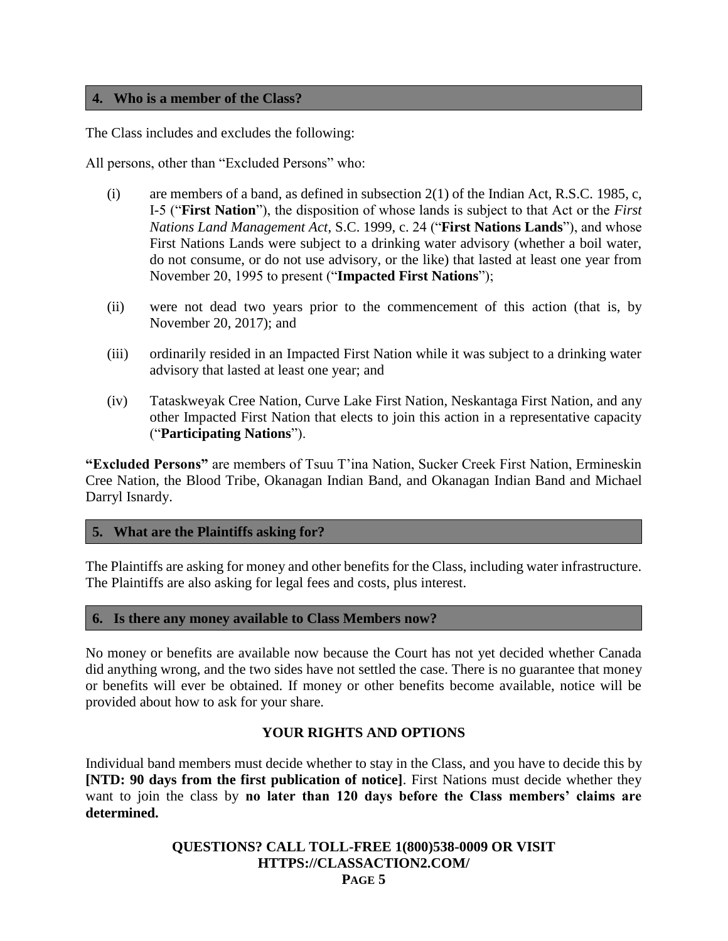### **4. Who is a member of the Class?**

The Class includes and excludes the following:

All persons, other than "Excluded Persons" who:

- (i) are members of a band, as defined in subsection  $2(1)$  of the Indian Act, R.S.C. 1985, c, I-5 ("**First Nation**"), the disposition of whose lands is subject to that Act or the *First Nations Land Management Act*, S.C. 1999, c. 24 ("**First Nations Lands**"), and whose First Nations Lands were subject to a drinking water advisory (whether a boil water, do not consume, or do not use advisory, or the like) that lasted at least one year from November 20, 1995 to present ("**Impacted First Nations**");
- (ii) were not dead two years prior to the commencement of this action (that is, by November 20, 2017); and
- (iii) ordinarily resided in an Impacted First Nation while it was subject to a drinking water advisory that lasted at least one year; and
- (iv) Tataskweyak Cree Nation, Curve Lake First Nation, Neskantaga First Nation, and any other Impacted First Nation that elects to join this action in a representative capacity ("**Participating Nations**").

**"Excluded Persons"** are members of Tsuu T'ina Nation, Sucker Creek First Nation, Ermineskin Cree Nation, the Blood Tribe, Okanagan Indian Band, and Okanagan Indian Band and Michael Darryl Isnardy.

#### **5. What are the Plaintiffs asking for?**

The Plaintiffs are asking for money and other benefits for the Class, including water infrastructure. The Plaintiffs are also asking for legal fees and costs, plus interest.

#### **6. Is there any money available to Class Members now?**

No money or benefits are available now because the Court has not yet decided whether Canada did anything wrong, and the two sides have not settled the case. There is no guarantee that money or benefits will ever be obtained. If money or other benefits become available, notice will be provided about how to ask for your share.

#### **YOUR RIGHTS AND OPTIONS**

Individual band members must decide whether to stay in the Class, and you have to decide this by **[NTD: 90 days from the first publication of notice]**. First Nations must decide whether they want to join the class by **no later than 120 days before the Class members' claims are determined.**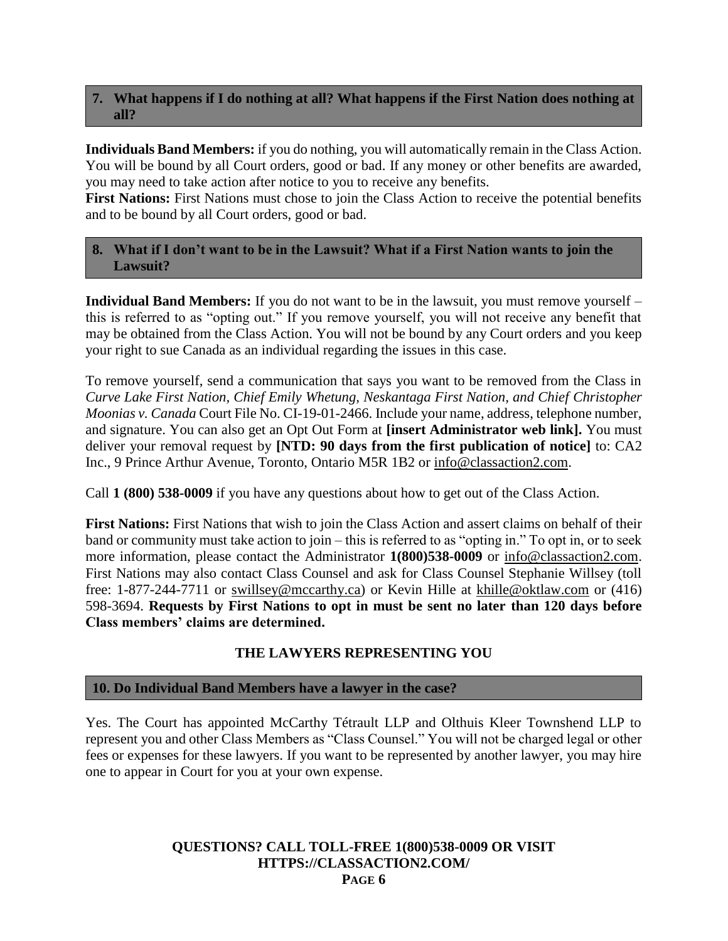### **7. What happens if I do nothing at all? What happens if the First Nation does nothing at all?**

**Individuals Band Members:** if you do nothing, you will automatically remain in the Class Action. You will be bound by all Court orders, good or bad. If any money or other benefits are awarded, you may need to take action after notice to you to receive any benefits.

**First Nations:** First Nations must chose to join the Class Action to receive the potential benefits and to be bound by all Court orders, good or bad.

### **8. What if I don't want to be in the Lawsuit? What if a First Nation wants to join the Lawsuit?**

**Individual Band Members:** If you do not want to be in the lawsuit, you must remove yourself – this is referred to as "opting out." If you remove yourself, you will not receive any benefit that may be obtained from the Class Action. You will not be bound by any Court orders and you keep your right to sue Canada as an individual regarding the issues in this case.

To remove yourself, send a communication that says you want to be removed from the Class in *Curve Lake First Nation, Chief Emily Whetung, Neskantaga First Nation, and Chief Christopher Moonias v. Canada* Court File No. CI-19-01-2466. Include your name, address, telephone number, and signature. You can also get an Opt Out Form at **[insert Administrator web link].** You must deliver your removal request by **[NTD: 90 days from the first publication of notice]** to: CA2 Inc., 9 Prince Arthur Avenue, Toronto, Ontario M5R 1B2 or info@classaction2.com.

Call **1 (800) 538-0009** if you have any questions about how to get out of the Class Action.

**First Nations:** First Nations that wish to join the Class Action and assert claims on behalf of their band or community must take action to join – this is referred to as "opting in." To opt in, or to seek more information, please contact the Administrator **1(800)538-0009** or info@classaction2.com. First Nations may also contact Class Counsel and ask for Class Counsel Stephanie Willsey (toll free: 1-877-244-7711 or swillsey@mccarthy.ca) or Kevin Hille at khille@oktlaw.com or (416) 598-3694. **Requests by First Nations to opt in must be sent no later than 120 days before Class members' claims are determined.**

### **THE LAWYERS REPRESENTING YOU**

### **10. Do Individual Band Members have a lawyer in the case?**

Yes. The Court has appointed McCarthy Tétrault LLP and Olthuis Kleer Townshend LLP to represent you and other Class Members as "Class Counsel." You will not be charged legal or other fees or expenses for these lawyers. If you want to be represented by another lawyer, you may hire one to appear in Court for you at your own expense.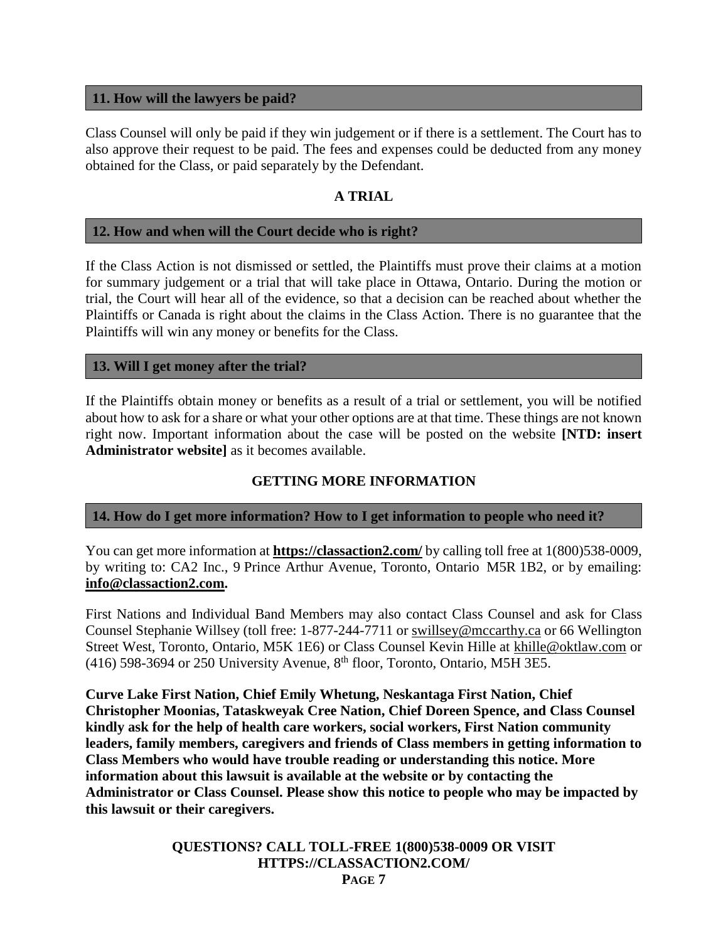#### **11. How will the lawyers be paid?**

Class Counsel will only be paid if they win judgement or if there is a settlement. The Court has to also approve their request to be paid. The fees and expenses could be deducted from any money obtained for the Class, or paid separately by the Defendant.

### **A TRIAL**

#### **12. How and when will the Court decide who is right?**

If the Class Action is not dismissed or settled, the Plaintiffs must prove their claims at a motion for summary judgement or a trial that will take place in Ottawa, Ontario. During the motion or trial, the Court will hear all of the evidence, so that a decision can be reached about whether the Plaintiffs or Canada is right about the claims in the Class Action. There is no guarantee that the Plaintiffs will win any money or benefits for the Class.

#### **13. Will I get money after the trial?**

If the Plaintiffs obtain money or benefits as a result of a trial or settlement, you will be notified about how to ask for a share or what your other options are at that time. These things are not known right now. Important information about the case will be posted on the website **[NTD: insert Administrator website]** as it becomes available.

### **GETTING MORE INFORMATION**

#### **14. How do I get more information? How to I get information to people who need it?**

You can get more information at **https://classaction2.com/** by calling toll free at  $1(800)538-0009$ , by writing to: CA2 Inc., 9 Prince Arthur Avenue, Toronto, Ontario M5R 1B2, or by emailing: **info@classaction2.com.**

First Nations and Individual Band Members may also contact Class Counsel and ask for Class Counsel Stephanie Willsey (toll free: 1-877-244-7711 or swillsey@mccarthy.ca or 66 Wellington Street West, Toronto, Ontario, M5K 1E6) or Class Counsel Kevin Hille at khille@oktlaw.com or (416) 598-3694 or 250 University Avenue,  $8<sup>th</sup>$  floor, Toronto, Ontario, M5H 3E5.

**Curve Lake First Nation, Chief Emily Whetung, Neskantaga First Nation, Chief Christopher Moonias, Tataskweyak Cree Nation, Chief Doreen Spence, and Class Counsel kindly ask for the help of health care workers, social workers, First Nation community leaders, family members, caregivers and friends of Class members in getting information to Class Members who would have trouble reading or understanding this notice. More information about this lawsuit is available at the website or by contacting the Administrator or Class Counsel. Please show this notice to people who may be impacted by this lawsuit or their caregivers.**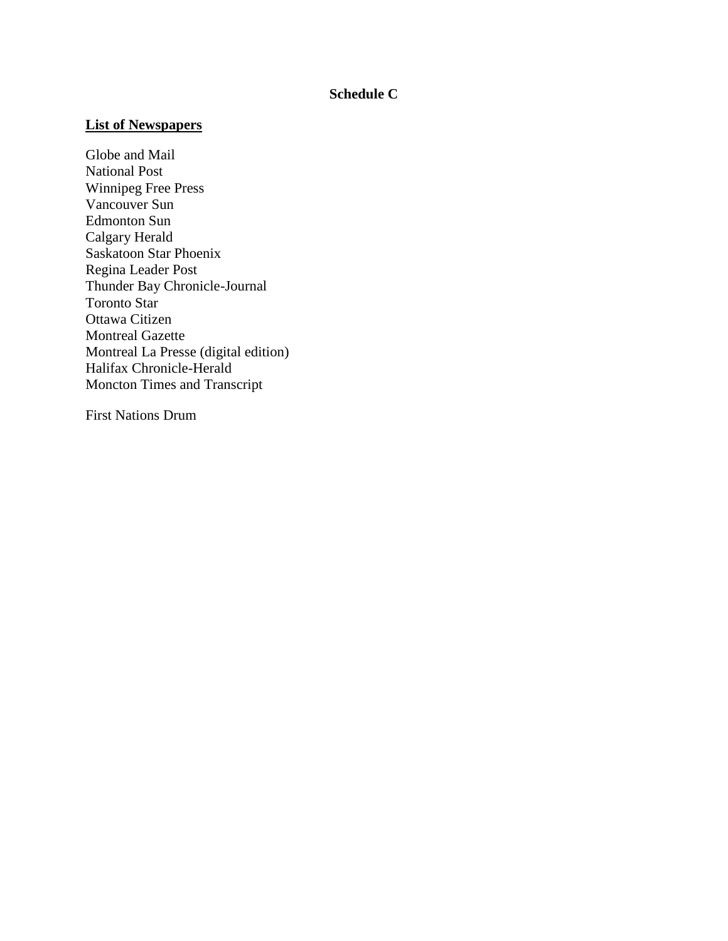### **Schedule C**

### **List of Newspapers**

Globe and Mail National Post Winnipeg Free Press Vancouver Sun Edmonton Sun Calgary Herald Saskatoon Star Phoenix Regina Leader Post Thunder Bay Chronicle-Journal Toronto Star Ottawa Citizen Montreal Gazette Montreal La Presse (digital edition) Halifax Chronicle-Herald Moncton Times and Transcript

First Nations Drum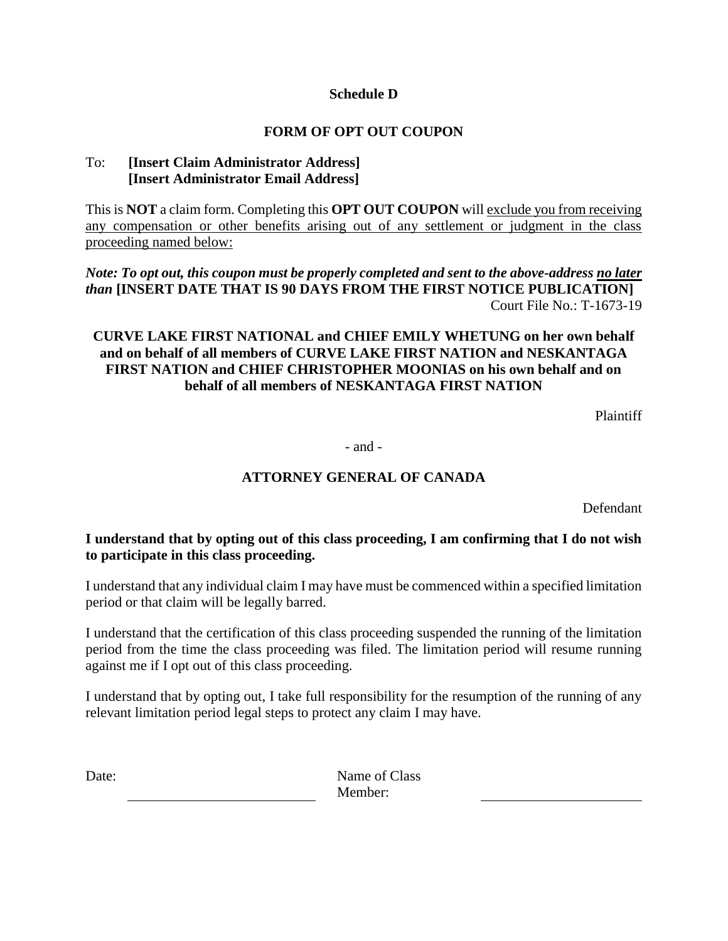### **Schedule D**

### **FORM OF OPT OUT COUPON**

### To: **[Insert Claim Administrator Address] [Insert Administrator Email Address]**

This is **NOT** a claim form. Completing this **OPT OUT COUPON** will exclude you from receiving any compensation or other benefits arising out of any settlement or judgment in the class proceeding named below:

*Note: To opt out, this coupon must be properly completed and sent to the above-address no later than* **[INSERT DATE THAT IS 90 DAYS FROM THE FIRST NOTICE PUBLICATION]** Court File No.: T-1673-19

### **CURVE LAKE FIRST NATIONAL and CHIEF EMILY WHETUNG on her own behalf and on behalf of all members of CURVE LAKE FIRST NATION and NESKANTAGA FIRST NATION and CHIEF CHRISTOPHER MOONIAS on his own behalf and on behalf of all members of NESKANTAGA FIRST NATION**

Plaintiff

- and -

### **ATTORNEY GENERAL OF CANADA**

Defendant

### **I understand that by opting out of this class proceeding, I am confirming that I do not wish to participate in this class proceeding.**

I understand that any individual claim I may have must be commenced within a specified limitation period or that claim will be legally barred.

I understand that the certification of this class proceeding suspended the running of the limitation period from the time the class proceeding was filed. The limitation period will resume running against me if I opt out of this class proceeding.

I understand that by opting out, I take full responsibility for the resumption of the running of any relevant limitation period legal steps to protect any claim I may have.

Date: Name of Class Member: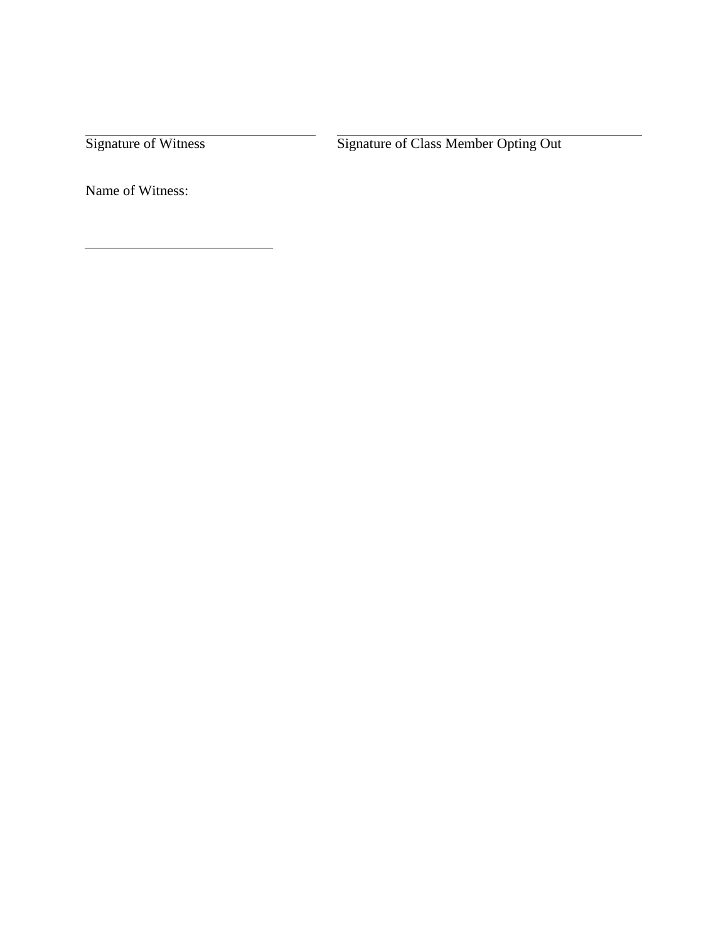Signature of Witness Signature of Class Member Opting Out

Name of Witness: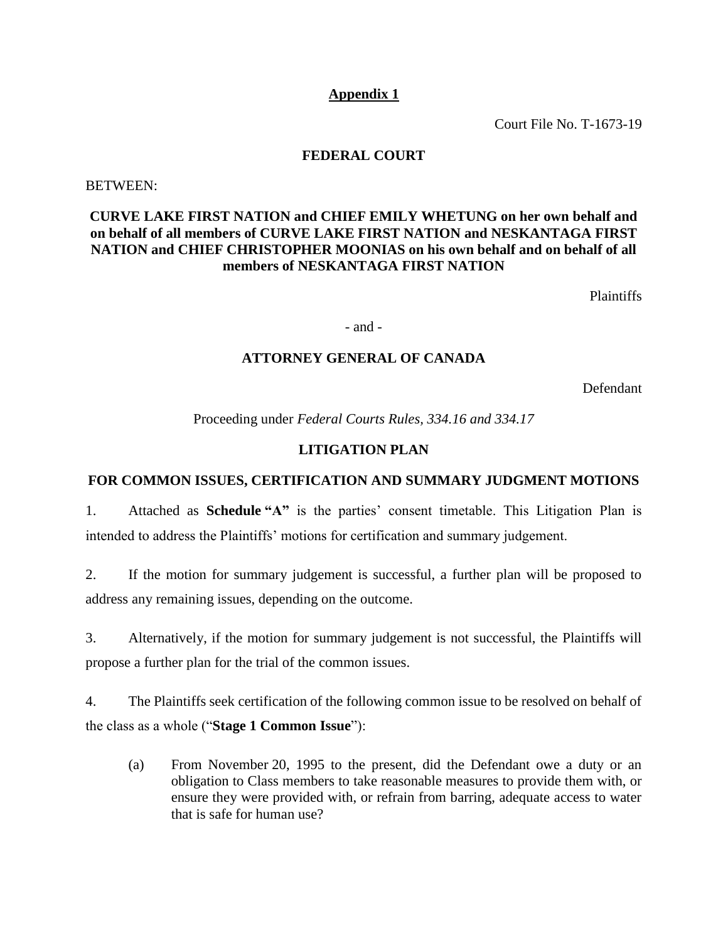### **Appendix 1**

Court File No. T-1673-19

#### **FEDERAL COURT**

<span id="page-18-0"></span>BETWEEN:

### **CURVE LAKE FIRST NATION and CHIEF EMILY WHETUNG on her own behalf and on behalf of all members of CURVE LAKE FIRST NATION and NESKANTAGA FIRST NATION and CHIEF CHRISTOPHER MOONIAS on his own behalf and on behalf of all members of NESKANTAGA FIRST NATION**

Plaintiffs

- and -

#### **ATTORNEY GENERAL OF CANADA**

Defendant

Proceeding under *Federal Courts Rules, 334.16 and 334.17*

### **LITIGATION PLAN**

### **FOR COMMON ISSUES, CERTIFICATION AND SUMMARY JUDGMENT MOTIONS**

1. Attached as **Schedule "A"** is the parties' consent timetable. This Litigation Plan is intended to address the Plaintiffs' motions for certification and summary judgement.

2. If the motion for summary judgement is successful, a further plan will be proposed to address any remaining issues, depending on the outcome.

3. Alternatively, if the motion for summary judgement is not successful, the Plaintiffs will propose a further plan for the trial of the common issues.

4. The Plaintiffs seek certification of the following common issue to be resolved on behalf of the class as a whole ("**Stage 1 Common Issue**"):

(a) From November 20, 1995 to the present, did the Defendant owe a duty or an obligation to Class members to take reasonable measures to provide them with, or ensure they were provided with, or refrain from barring, adequate access to water that is safe for human use?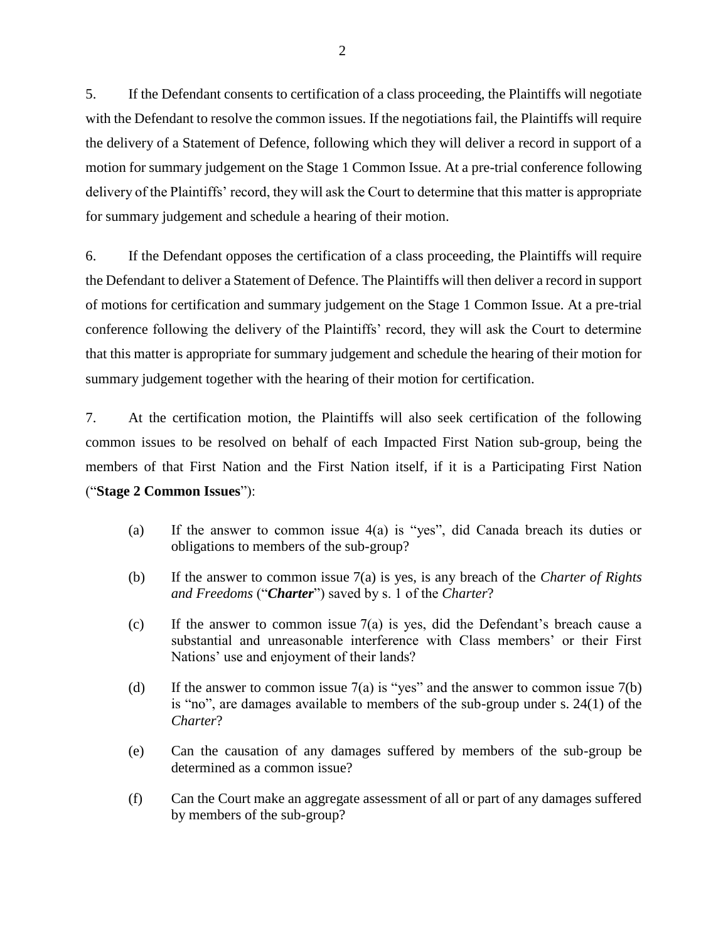5. If the Defendant consents to certification of a class proceeding, the Plaintiffs will negotiate with the Defendant to resolve the common issues. If the negotiations fail, the Plaintiffs will require the delivery of a Statement of Defence, following which they will deliver a record in support of a motion for summary judgement on the Stage 1 Common Issue. At a pre-trial conference following delivery of the Plaintiffs' record, they will ask the Court to determine that this matter is appropriate for summary judgement and schedule a hearing of their motion.

6. If the Defendant opposes the certification of a class proceeding, the Plaintiffs will require the Defendant to deliver a Statement of Defence. The Plaintiffs will then deliver a record in support of motions for certification and summary judgement on the Stage 1 Common Issue. At a pre-trial conference following the delivery of the Plaintiffs' record, they will ask the Court to determine that this matter is appropriate for summary judgement and schedule the hearing of their motion for summary judgement together with the hearing of their motion for certification.

7. At the certification motion, the Plaintiffs will also seek certification of the following common issues to be resolved on behalf of each Impacted First Nation sub-group, being the members of that First Nation and the First Nation itself, if it is a Participating First Nation ("**Stage 2 Common Issues**"):

- (a) If the answer to common issue 4(a) is "yes", did Canada breach its duties or obligations to members of the sub-group?
- (b) If the answer to common issue 7(a) is yes, is any breach of the *Charter of Rights and Freedoms* ("*Charter*") saved by s. 1 of the *Charter*?
- (c) If the answer to common issue 7(a) is yes, did the Defendant's breach cause a substantial and unreasonable interference with Class members' or their First Nations' use and enjoyment of their lands?
- (d) If the answer to common issue  $7(a)$  is "yes" and the answer to common issue  $7(b)$ is "no", are damages available to members of the sub-group under s. 24(1) of the *Charter*?
- (e) Can the causation of any damages suffered by members of the sub-group be determined as a common issue?
- (f) Can the Court make an aggregate assessment of all or part of any damages suffered by members of the sub-group?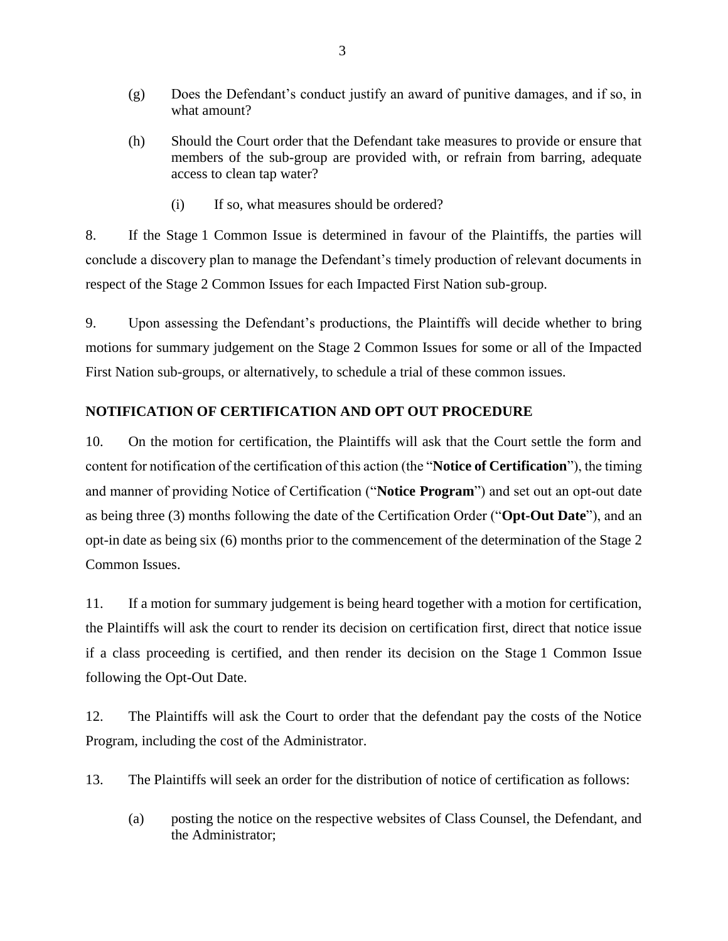- (g) Does the Defendant's conduct justify an award of punitive damages, and if so, in what amount?
- (h) Should the Court order that the Defendant take measures to provide or ensure that members of the sub-group are provided with, or refrain from barring, adequate access to clean tap water?
	- (i) If so, what measures should be ordered?

8. If the Stage 1 Common Issue is determined in favour of the Plaintiffs, the parties will conclude a discovery plan to manage the Defendant's timely production of relevant documents in respect of the Stage 2 Common Issues for each Impacted First Nation sub-group.

9. Upon assessing the Defendant's productions, the Plaintiffs will decide whether to bring motions for summary judgement on the Stage 2 Common Issues for some or all of the Impacted First Nation sub-groups, or alternatively, to schedule a trial of these common issues.

### **NOTIFICATION OF CERTIFICATION AND OPT OUT PROCEDURE**

10. On the motion for certification, the Plaintiffs will ask that the Court settle the form and content for notification of the certification of this action (the "**Notice of Certification**"), the timing and manner of providing Notice of Certification ("**Notice Program**") and set out an opt-out date as being three (3) months following the date of the Certification Order ("**Opt-Out Date**"), and an opt-in date as being six (6) months prior to the commencement of the determination of the Stage 2 Common Issues.

11. If a motion for summary judgement is being heard together with a motion for certification, the Plaintiffs will ask the court to render its decision on certification first, direct that notice issue if a class proceeding is certified, and then render its decision on the Stage 1 Common Issue following the Opt-Out Date.

12. The Plaintiffs will ask the Court to order that the defendant pay the costs of the Notice Program, including the cost of the Administrator.

- 13. The Plaintiffs will seek an order for the distribution of notice of certification as follows:
	- (a) posting the notice on the respective websites of Class Counsel, the Defendant, and the Administrator;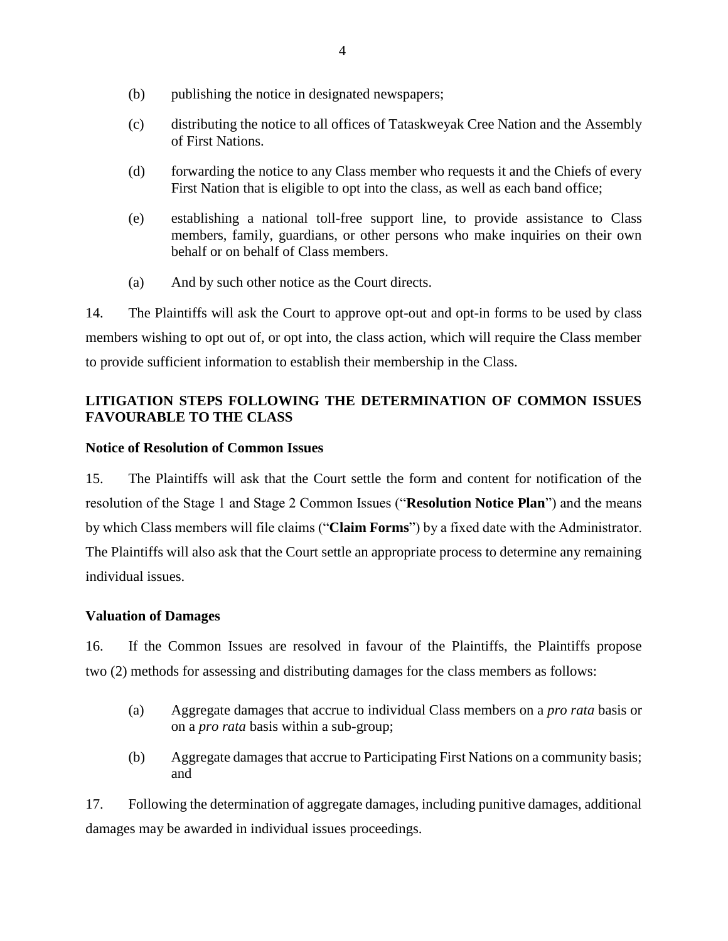- (b) publishing the notice in designated newspapers;
- (c) distributing the notice to all offices of Tataskweyak Cree Nation and the Assembly of First Nations.
- (d) forwarding the notice to any Class member who requests it and the Chiefs of every First Nation that is eligible to opt into the class, as well as each band office;
- (e) establishing a national toll-free support line, to provide assistance to Class members, family, guardians, or other persons who make inquiries on their own behalf or on behalf of Class members.
- (a) And by such other notice as the Court directs.

14. The Plaintiffs will ask the Court to approve opt-out and opt-in forms to be used by class members wishing to opt out of, or opt into, the class action, which will require the Class member to provide sufficient information to establish their membership in the Class.

### **LITIGATION STEPS FOLLOWING THE DETERMINATION OF COMMON ISSUES FAVOURABLE TO THE CLASS**

### **Notice of Resolution of Common Issues**

15. The Plaintiffs will ask that the Court settle the form and content for notification of the resolution of the Stage 1 and Stage 2 Common Issues ("**Resolution Notice Plan**") and the means by which Class members will file claims ("**Claim Forms**") by a fixed date with the Administrator. The Plaintiffs will also ask that the Court settle an appropriate process to determine any remaining individual issues.

#### **Valuation of Damages**

16. If the Common Issues are resolved in favour of the Plaintiffs, the Plaintiffs propose two (2) methods for assessing and distributing damages for the class members as follows:

- (a) Aggregate damages that accrue to individual Class members on a *pro rata* basis or on a *pro rata* basis within a sub-group;
- (b) Aggregate damages that accrue to Participating First Nations on a community basis; and

17. Following the determination of aggregate damages, including punitive damages, additional damages may be awarded in individual issues proceedings.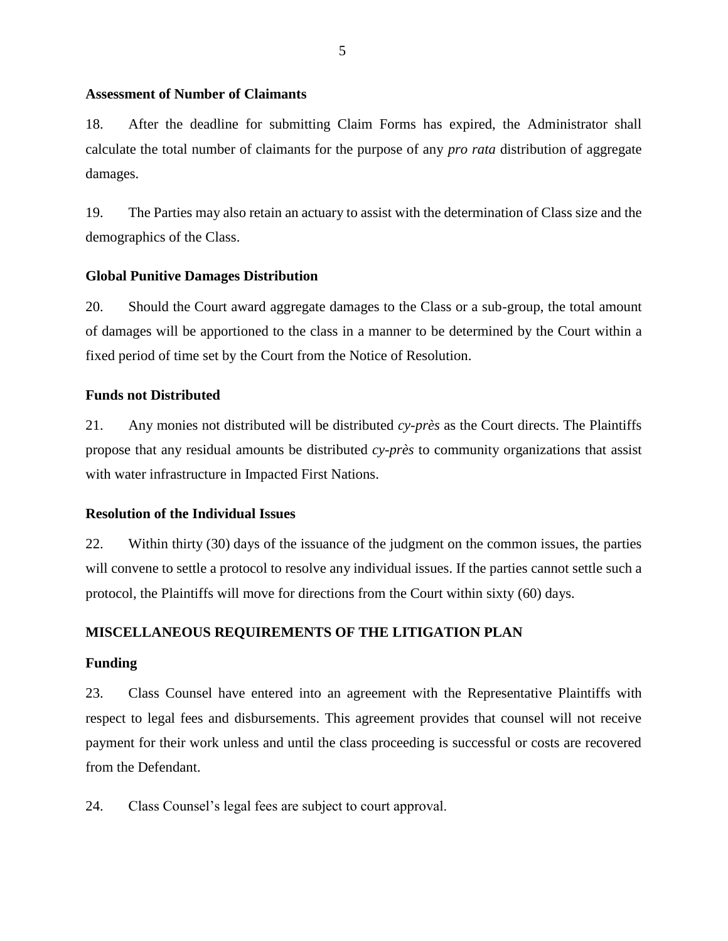#### **Assessment of Number of Claimants**

18. After the deadline for submitting Claim Forms has expired, the Administrator shall calculate the total number of claimants for the purpose of any *pro rata* distribution of aggregate damages.

19. The Parties may also retain an actuary to assist with the determination of Class size and the demographics of the Class.

#### **Global Punitive Damages Distribution**

20. Should the Court award aggregate damages to the Class or a sub-group, the total amount of damages will be apportioned to the class in a manner to be determined by the Court within a fixed period of time set by the Court from the Notice of Resolution.

#### **Funds not Distributed**

21. Any monies not distributed will be distributed *cy-près* as the Court directs. The Plaintiffs propose that any residual amounts be distributed *cy-près* to community organizations that assist with water infrastructure in Impacted First Nations.

#### **Resolution of the Individual Issues**

22. Within thirty (30) days of the issuance of the judgment on the common issues, the parties will convene to settle a protocol to resolve any individual issues. If the parties cannot settle such a protocol, the Plaintiffs will move for directions from the Court within sixty (60) days.

#### **MISCELLANEOUS REQUIREMENTS OF THE LITIGATION PLAN**

#### **Funding**

23. Class Counsel have entered into an agreement with the Representative Plaintiffs with respect to legal fees and disbursements. This agreement provides that counsel will not receive payment for their work unless and until the class proceeding is successful or costs are recovered from the Defendant.

24. Class Counsel's legal fees are subject to court approval.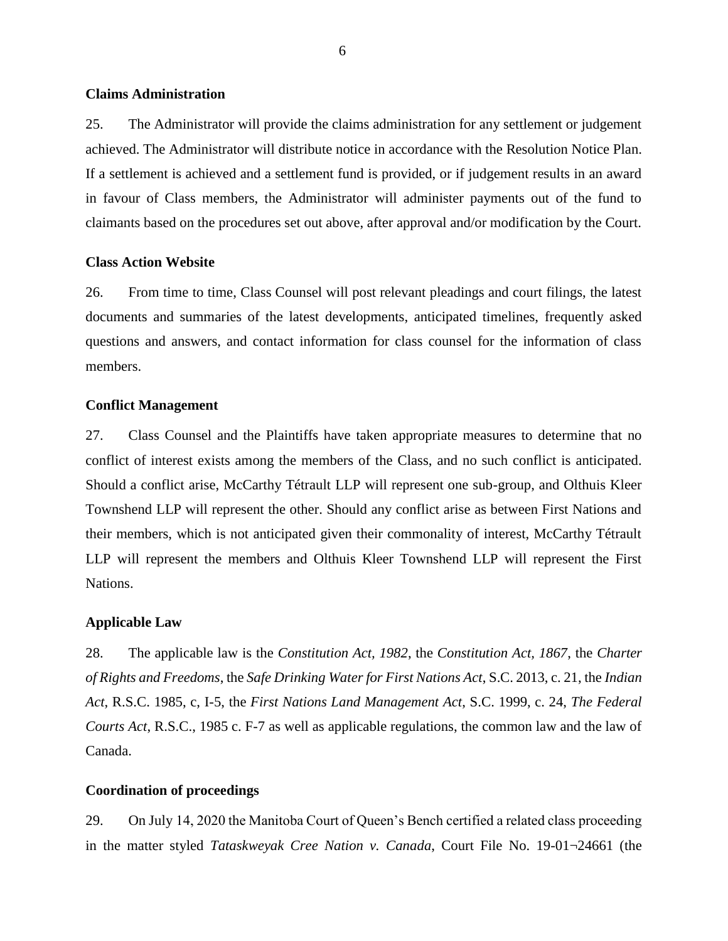#### **Claims Administration**

25. The Administrator will provide the claims administration for any settlement or judgement achieved. The Administrator will distribute notice in accordance with the Resolution Notice Plan. If a settlement is achieved and a settlement fund is provided, or if judgement results in an award in favour of Class members, the Administrator will administer payments out of the fund to claimants based on the procedures set out above, after approval and/or modification by the Court.

#### **Class Action Website**

26. From time to time, Class Counsel will post relevant pleadings and court filings, the latest documents and summaries of the latest developments, anticipated timelines, frequently asked questions and answers, and contact information for class counsel for the information of class members.

#### **Conflict Management**

27. Class Counsel and the Plaintiffs have taken appropriate measures to determine that no conflict of interest exists among the members of the Class, and no such conflict is anticipated. Should a conflict arise, McCarthy Tétrault LLP will represent one sub-group, and Olthuis Kleer Townshend LLP will represent the other. Should any conflict arise as between First Nations and their members, which is not anticipated given their commonality of interest, McCarthy Tétrault LLP will represent the members and Olthuis Kleer Townshend LLP will represent the First Nations.

#### **Applicable Law**

28. The applicable law is the *Constitution Act, 1982*, the *Constitution Act, 1867*, the *Charter of Rights and Freedoms*, the *Safe Drinking Water for First Nations Act*, S.C. 2013, c. 21, the *Indian Act*, R.S.C. 1985, c, I-5, the *First Nations Land Management Act*, S.C. 1999, c. 24, *The Federal Courts Act*, R.S.C., 1985 c. F-7 as well as applicable regulations, the common law and the law of Canada.

#### **Coordination of proceedings**

29. On July 14, 2020 the Manitoba Court of Queen's Bench certified a related class proceeding in the matter styled *Tataskweyak Cree Nation v. Canada*, Court File No. 19-01¬24661 (the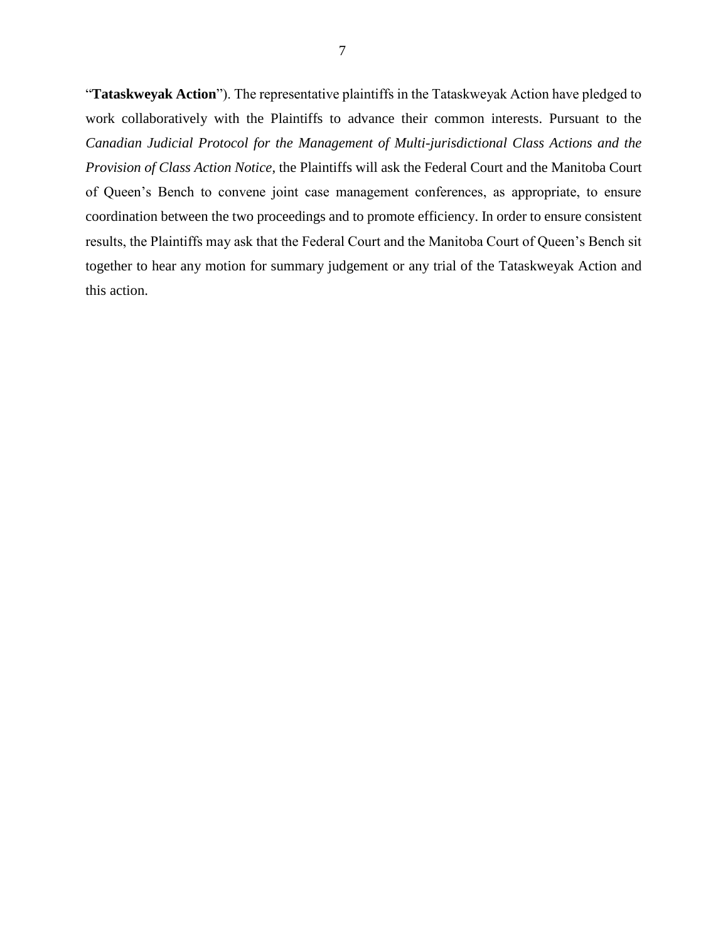"**Tataskweyak Action**"). The representative plaintiffs in the Tataskweyak Action have pledged to work collaboratively with the Plaintiffs to advance their common interests. Pursuant to the *Canadian Judicial Protocol for the Management of Multi-jurisdictional Class Actions and the Provision of Class Action Notice*, the Plaintiffs will ask the Federal Court and the Manitoba Court of Queen's Bench to convene joint case management conferences, as appropriate, to ensure coordination between the two proceedings and to promote efficiency. In order to ensure consistent results, the Plaintiffs may ask that the Federal Court and the Manitoba Court of Queen's Bench sit together to hear any motion for summary judgement or any trial of the Tataskweyak Action and this action.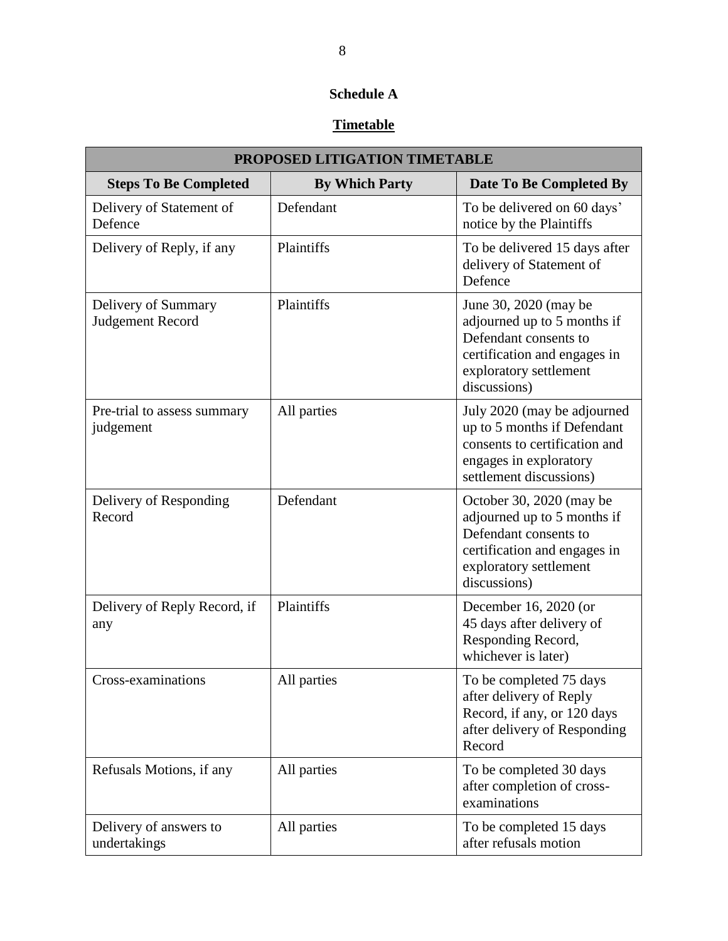# **Schedule A**

# **Timetable**

| PROPOSED LITIGATION TIMETABLE            |                       |                                                                                                                                                            |  |  |  |
|------------------------------------------|-----------------------|------------------------------------------------------------------------------------------------------------------------------------------------------------|--|--|--|
| <b>Steps To Be Completed</b>             | <b>By Which Party</b> | Date To Be Completed By                                                                                                                                    |  |  |  |
| Delivery of Statement of<br>Defence      | Defendant             | To be delivered on 60 days'<br>notice by the Plaintiffs                                                                                                    |  |  |  |
| Delivery of Reply, if any                | Plaintiffs            | To be delivered 15 days after<br>delivery of Statement of<br>Defence                                                                                       |  |  |  |
| Delivery of Summary<br>Judgement Record  | Plaintiffs            | June 30, 2020 (may be<br>adjourned up to 5 months if<br>Defendant consents to<br>certification and engages in<br>exploratory settlement<br>discussions)    |  |  |  |
| Pre-trial to assess summary<br>judgement | All parties           | July 2020 (may be adjourned<br>up to 5 months if Defendant<br>consents to certification and<br>engages in exploratory<br>settlement discussions)           |  |  |  |
| Delivery of Responding<br>Record         | Defendant             | October 30, 2020 (may be<br>adjourned up to 5 months if<br>Defendant consents to<br>certification and engages in<br>exploratory settlement<br>discussions) |  |  |  |
| Delivery of Reply Record, if<br>any      | Plaintiffs            | December 16, 2020 (or<br>45 days after delivery of<br>Responding Record,<br>whichever is later)                                                            |  |  |  |
| Cross-examinations                       | All parties           | To be completed 75 days<br>after delivery of Reply<br>Record, if any, or 120 days<br>after delivery of Responding<br>Record                                |  |  |  |
| Refusals Motions, if any                 | All parties           | To be completed 30 days<br>after completion of cross-<br>examinations                                                                                      |  |  |  |
| Delivery of answers to<br>undertakings   | All parties           | To be completed 15 days<br>after refusals motion                                                                                                           |  |  |  |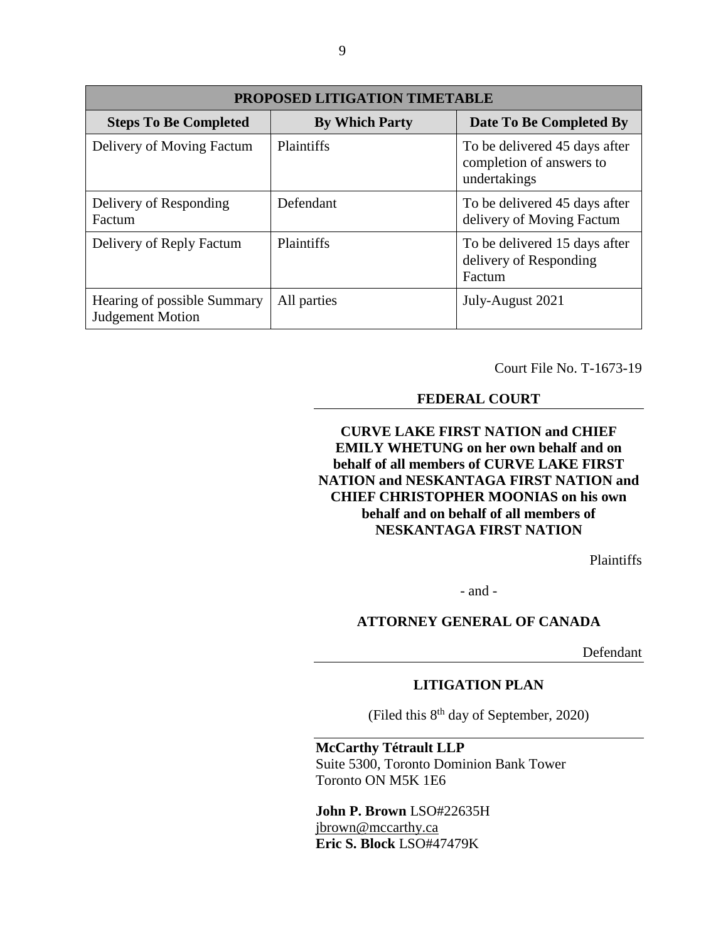| <b>PROPOSED LITIGATION TIMETABLE</b>                   |                       |                                                                           |  |  |  |
|--------------------------------------------------------|-----------------------|---------------------------------------------------------------------------|--|--|--|
| <b>Steps To Be Completed</b>                           | <b>By Which Party</b> | Date To Be Completed By                                                   |  |  |  |
| Delivery of Moving Factum                              | <b>Plaintiffs</b>     | To be delivered 45 days after<br>completion of answers to<br>undertakings |  |  |  |
| Delivery of Responding<br>Factum                       | Defendant             | To be delivered 45 days after<br>delivery of Moving Factum                |  |  |  |
| Delivery of Reply Factum                               | <b>Plaintiffs</b>     | To be delivered 15 days after<br>delivery of Responding<br>Factum         |  |  |  |
| Hearing of possible Summary<br><b>Judgement Motion</b> | All parties           | July-August 2021                                                          |  |  |  |

Court File No. T-1673-19

### **FEDERAL COURT**

### **CURVE LAKE FIRST NATION and CHIEF EMILY WHETUNG on her own behalf and on behalf of all members of CURVE LAKE FIRST NATION and NESKANTAGA FIRST NATION and CHIEF CHRISTOPHER MOONIAS on his own behalf and on behalf of all members of NESKANTAGA FIRST NATION**

Plaintiffs

- and -

### **ATTORNEY GENERAL OF CANADA**

Defendant

#### **LITIGATION PLAN**

(Filed this 8th day of September, 2020)

#### **McCarthy Tétrault LLP**

Suite 5300, Toronto Dominion Bank Tower Toronto ON M5K 1E6

#### **John P. Brown** LSO#22635H jbrown@mccarthy.ca **Eric S. Block** LSO#47479K